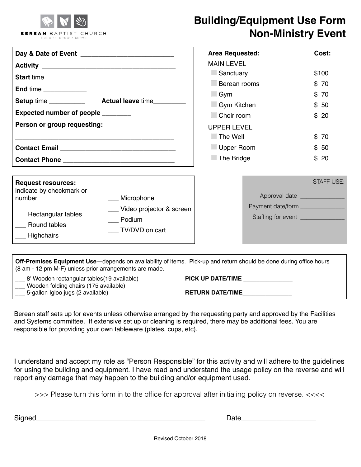

## **Building/Equipment Use Form Non-Ministry Event**

| Start time<br>End time _____________<br>Expected number of people _______<br>Person or group requesting:                                                                                               | <b>Area Requested:</b><br><b>MAIN LEVEL</b><br>Sanctuary<br>Berean rooms<br>$\Box$ Gym<br>Gym Kitchen<br>Choir room<br><b>UPPER LEVEL</b><br>$\blacksquare$ The Well<br>Upper Room<br>The Bridge | Cost:<br>\$100<br>\$70<br>\$70<br>\$50<br>\$20<br>\$70<br>\$50<br>\$20                   |
|--------------------------------------------------------------------------------------------------------------------------------------------------------------------------------------------------------|--------------------------------------------------------------------------------------------------------------------------------------------------------------------------------------------------|------------------------------------------------------------------------------------------|
| <b>Request resources:</b><br>indicate by checkmark or<br>number<br>___ Microphone<br>_ Video projector & screen<br>___ Rectangular tables<br>Podium<br>Round tables<br>TV/DVD on cart<br>__ Highchairs | Payment date/form _______________                                                                                                                                                                | <b>STAFF USE:</b><br>Approval date ______________<br>Staffing for event ________________ |

| <b>Off-Premises Equipment Use</b> —depends on availability of items. Pick-up and return should be done during office hours<br>(8 am - 12 pm M-F) unless prior arrangements are made. |                         |
|--------------------------------------------------------------------------------------------------------------------------------------------------------------------------------------|-------------------------|
| 8' Wooden rectangular tables (19 available)<br>___ Wooden folding chairs (175 available)                                                                                             | PICK UP DATE/TIME       |
| 5-gallon Igloo jugs (2 available)                                                                                                                                                    | <b>RETURN DATE/TIME</b> |

Berean staff sets up for events unless otherwise arranged by the requesting party and approved by the Facilities and Systems committee. If extensive set up or cleaning is required, there may be additional fees. You are responsible for providing your own tableware (plates, cups, etc).

I understand and accept my role as "Person Responsible" for this activity and will adhere to the guidelines for using the building and equipment. I have read and understand the usage policy on the reverse and will report any damage that may happen to the building and/or equipment used.

>>> Please turn this form in to the office for approval after initialing policy on reverse. <<<<

Signed\_\_\_\_\_\_\_\_\_\_\_\_\_\_\_\_\_\_\_\_\_\_\_\_\_\_\_\_\_\_\_\_\_\_\_\_\_\_\_\_\_\_\_ Date\_\_\_\_\_\_\_\_\_\_\_\_\_\_\_\_\_\_\_